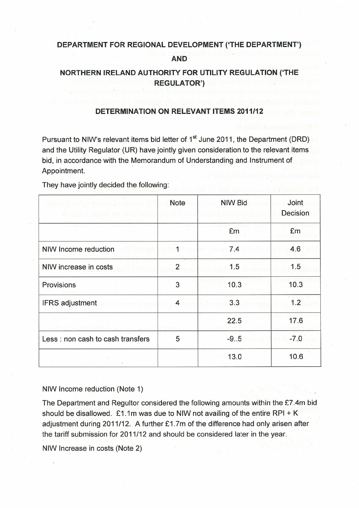# DEPARTMENT FOR REGIONAL DEVELOPMENT ('THE DEPARTMENT') AND

# NORTHERN IRELAND AUTHORITY FOR UTILITY REGULATION ('THE REGULATOR')

## DETERMINATION ON RELEVANT ITEMS 2011112

Pursuant to NIW's relevant items bid letter of 1<sup>st</sup> June 2011, the Department (DRD) and the Utility Regulator (UR) have jointly given consideration to the relevant items bid, in accordance with the Memorandum of Understanding and Instrument of Appointment.

They have jointly decided the following:

| moe erfilio rainee<br>aeniupen tepaoi on Milin | <b>Note</b>    | <b>NIW Bid</b> | Joint<br>Decision |
|------------------------------------------------|----------------|----------------|-------------------|
|                                                |                | £m             | £m                |
| NIW Income reduction                           | 1              | 7.4            | 4.6               |
| NIW increase in costs                          | $\overline{2}$ | 1.5            | 1.5               |
| Provisions                                     | 3              | 10.3           | 10.3              |
| <b>IFRS</b> adjustment                         | 4              | 3.3            | 1.2               |
|                                                |                | 22.5           | 17.6              |
| Less : non cash to cash transfers              | 5              | $-9.05$        | $-7.0$            |
|                                                |                | 13.0           | 10.6              |

### NIW Income reduction (Note 1)

The Department and Regultor considered the following amounts within the £7.4m bid should be disallowed.  $£1.1m$  was due to NIW not availing of the entire RPI + K adjustment during 2011/12. <sup>A</sup> further £1 .7m of the difference had only arisen after the tariff submission for 2011/12 and should be considered later in the year.

NIW Increase in costs (Note 2)